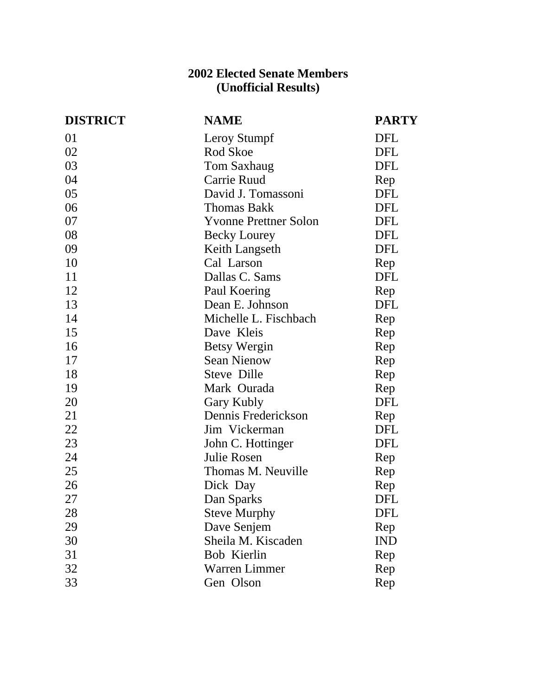## **2002 Elected Senate Members (Unofficial Results)**

| <b>DISTRICT</b> | <b>NAME</b>                  | <b>PARTY</b> |
|-----------------|------------------------------|--------------|
| 01              | Leroy Stumpf                 | DFL          |
| 02              | Rod Skoe                     | <b>DFL</b>   |
| 03              | Tom Saxhaug                  | <b>DFL</b>   |
| 04              | Carrie Ruud                  | Rep          |
| 05              | David J. Tomassoni           | DFL          |
| 06              | <b>Thomas Bakk</b>           | DFL          |
| 07              | <b>Yvonne Prettner Solon</b> | <b>DFL</b>   |
| 08              | <b>Becky Lourey</b>          | DFL          |
| 09              | Keith Langseth               | <b>DFL</b>   |
| 10              | Cal Larson                   | Rep          |
| 11              | Dallas C. Sams               | <b>DFL</b>   |
| 12              | Paul Koering                 | Rep          |
| 13              | Dean E. Johnson              | <b>DFL</b>   |
| 14              | Michelle L. Fischbach        | Rep          |
| 15              | Dave Kleis                   | Rep          |
| 16              | <b>Betsy Wergin</b>          | Rep          |
| 17              | <b>Sean Nienow</b>           | Rep          |
| 18              | Steve Dille                  | Rep          |
| 19              | Mark Ourada                  | Rep          |
| 20              | Gary Kubly                   | DFL          |
| 21              | Dennis Frederickson          | Rep          |
| 22              | Jim Vickerman                | <b>DFL</b>   |
| 23              | John C. Hottinger            | <b>DFL</b>   |
| 24              | Julie Rosen                  | Rep          |
| 25              | Thomas M. Neuville           | Rep          |
| 26              | Dick Day                     | Rep          |
| 27              | Dan Sparks                   | DFL          |
| 28              | <b>Steve Murphy</b>          | DFL          |
| 29              | Dave Senjem                  | Rep          |
| 30              | Sheila M. Kiscaden           | <b>IND</b>   |
| 31              | Bob Kierlin                  | Rep          |
| 32              | <b>Warren Limmer</b>         | Rep          |
| 33              | Gen Olson                    | Rep          |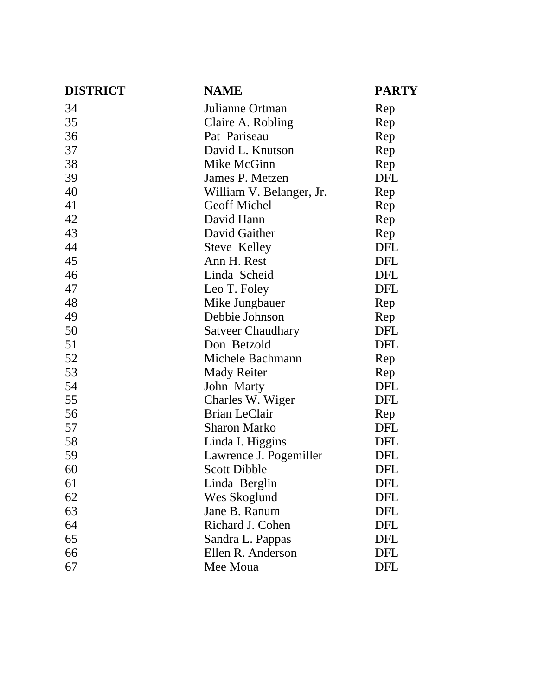| <b>DISTRICT</b> | <b>NAME</b>              | <b>PARTY</b> |
|-----------------|--------------------------|--------------|
| 34              | Julianne Ortman          | Rep          |
| 35              | Claire A. Robling        | Rep          |
| 36              | Pat Pariseau             | Rep          |
| 37              | David L. Knutson         | Rep          |
| 38              | Mike McGinn              | Rep          |
| 39              | James P. Metzen          | <b>DFL</b>   |
| 40              | William V. Belanger, Jr. | Rep          |
| 41              | <b>Geoff Michel</b>      | Rep          |
| 42              | David Hann               | Rep          |
| 43              | David Gaither            | Rep          |
| 44              | Steve Kelley             | <b>DFL</b>   |
| 45              | Ann H. Rest              | <b>DFL</b>   |
| 46              | Linda Scheid             | <b>DFL</b>   |
| 47              | Leo T. Foley             | <b>DFL</b>   |
| 48              | Mike Jungbauer           | Rep          |
| 49              | Debbie Johnson           | Rep          |
| 50              | <b>Satveer Chaudhary</b> | <b>DFL</b>   |
| 51              | Don Betzold              | <b>DFL</b>   |
| 52              | Michele Bachmann         | Rep          |
| 53              | <b>Mady Reiter</b>       | Rep          |
| 54              | John Marty               | <b>DFL</b>   |
| 55              | Charles W. Wiger         | <b>DFL</b>   |
| 56              | <b>Brian LeClair</b>     | Rep          |
| 57              | <b>Sharon Marko</b>      | <b>DFL</b>   |
| 58              | Linda I. Higgins         | <b>DFL</b>   |
| 59              | Lawrence J. Pogemiller   | DFL          |
| 60              | <b>Scott Dibble</b>      | <b>DFL</b>   |
| 61              | Linda Berglin            | DFL          |
| 62              | Wes Skoglund             | DFL          |
| 63              | Jane B. Ranum            | DFL          |
| 64              | Richard J. Cohen         | DFL          |
| 65              | Sandra L. Pappas         | DFL          |
| 66              | Ellen R. Anderson        | DFL          |
| 67              | Mee Moua                 | DFL          |